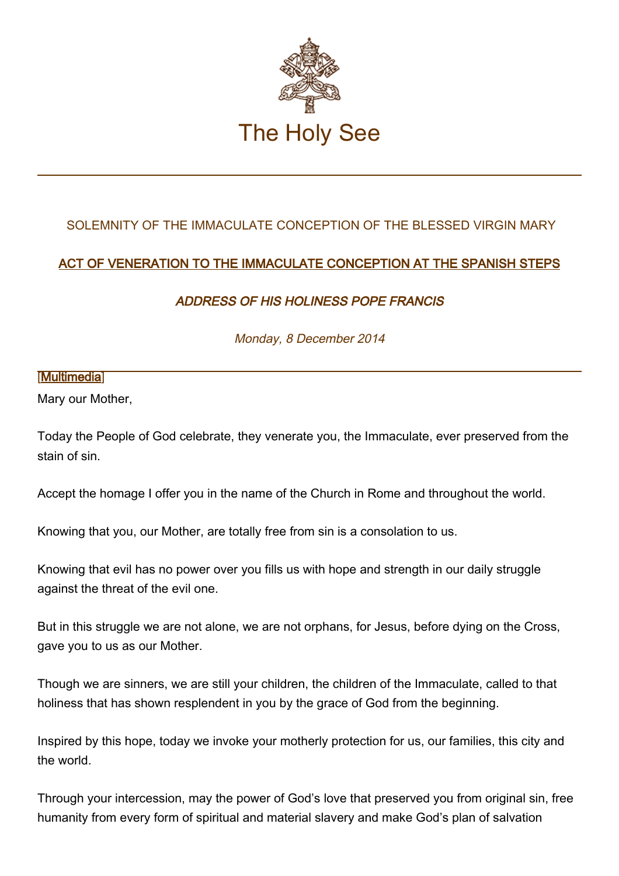

## SOLEMNITY OF THE IMMACULATE CONCEPTION OF THE BLESSED VIRGIN MARY

## ACT OF VENERATION TO THE IMMACULATE CONCEPTION AT THE SPANISH STEPS

## ADDRESS OF HIS HOLINESS POPE FRANCIS

Monday, 8 December 2014

## [\[Multimedia](http://w2.vatican.va/content/francesco/en/events/event.dir.html/content/vaticanevents/en/2014/12/8/immacolata.html)]

Mary our Mother,

Today the People of God celebrate, they venerate you, the Immaculate, ever preserved from the stain of sin.

Accept the homage I offer you in the name of the Church in Rome and throughout the world.

Knowing that you, our Mother, are totally free from sin is a consolation to us.

Knowing that evil has no power over you fills us with hope and strength in our daily struggle against the threat of the evil one.

But in this struggle we are not alone, we are not orphans, for Jesus, before dying on the Cross, gave you to us as our Mother.

Though we are sinners, we are still your children, the children of the Immaculate, called to that holiness that has shown resplendent in you by the grace of God from the beginning.

Inspired by this hope, today we invoke your motherly protection for us, our families, this city and the world.

Through your intercession, may the power of God's love that preserved you from original sin, free humanity from every form of spiritual and material slavery and make God's plan of salvation